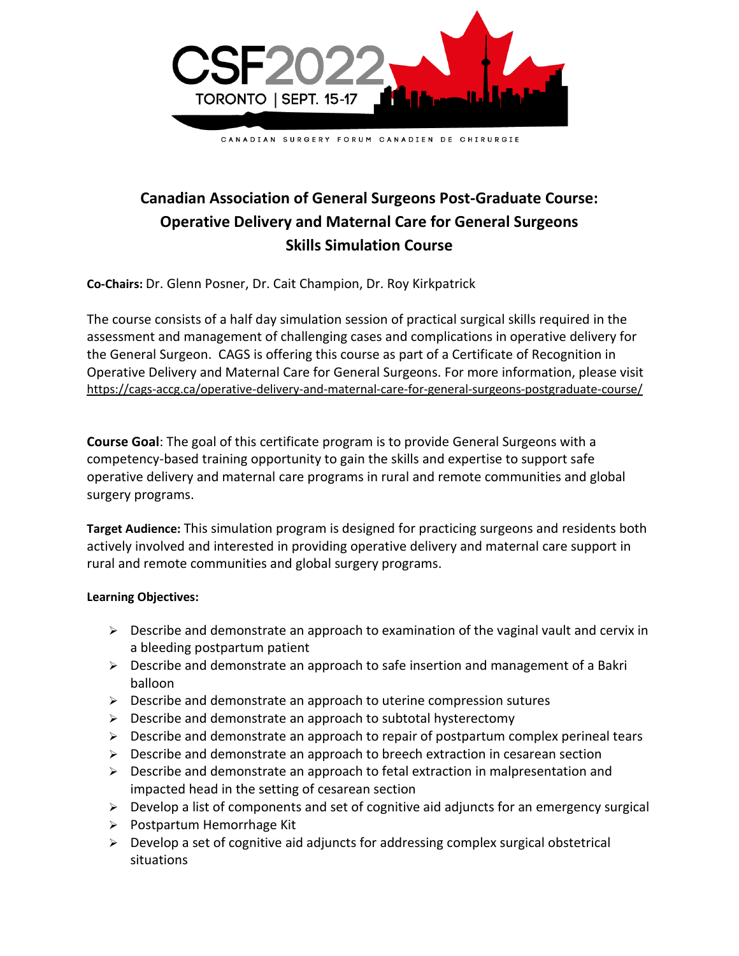

## **Canadian Association of General Surgeons Post-Graduate Course: Operative Delivery and Maternal Care for General Surgeons Skills Simulation Course**

**Co-Chairs:** Dr. Glenn Posner, Dr. Cait Champion, Dr. Roy Kirkpatrick

The course consists of a half day simulation session of practical surgical skills required in the assessment and management of challenging cases and complications in operative delivery for the General Surgeon. CAGS is offering this course as part of a Certificate of Recognition in Operative Delivery and Maternal Care for General Surgeons. For more information, please visit <https://cags-accg.ca/operative-delivery-and-maternal-care-for-general-surgeons-postgraduate-course/>

**Course Goal**: The goal of this certificate program is to provide General Surgeons with a competency-based training opportunity to gain the skills and expertise to support safe operative delivery and maternal care programs in rural and remote communities and global surgery programs.

**Target Audience:** This simulation program is designed for practicing surgeons and residents both actively involved and interested in providing operative delivery and maternal care support in rural and remote communities and global surgery programs.

## **Learning Objectives:**

- ➢ Describe and demonstrate an approach to examination of the vaginal vault and cervix in a bleeding postpartum patient
- $\triangleright$  Describe and demonstrate an approach to safe insertion and management of a Bakri balloon
- ➢ Describe and demonstrate an approach to uterine compression sutures
- ➢ Describe and demonstrate an approach to subtotal hysterectomy
- ➢ Describe and demonstrate an approach to repair of postpartum complex perineal tears
- $\triangleright$  Describe and demonstrate an approach to breech extraction in cesarean section
- $\triangleright$  Describe and demonstrate an approach to fetal extraction in malpresentation and impacted head in the setting of cesarean section
- ➢ Develop a list of components and set of cognitive aid adjuncts for an emergency surgical
- ➢ Postpartum Hemorrhage Kit
- ➢ Develop a set of cognitive aid adjuncts for addressing complex surgical obstetrical situations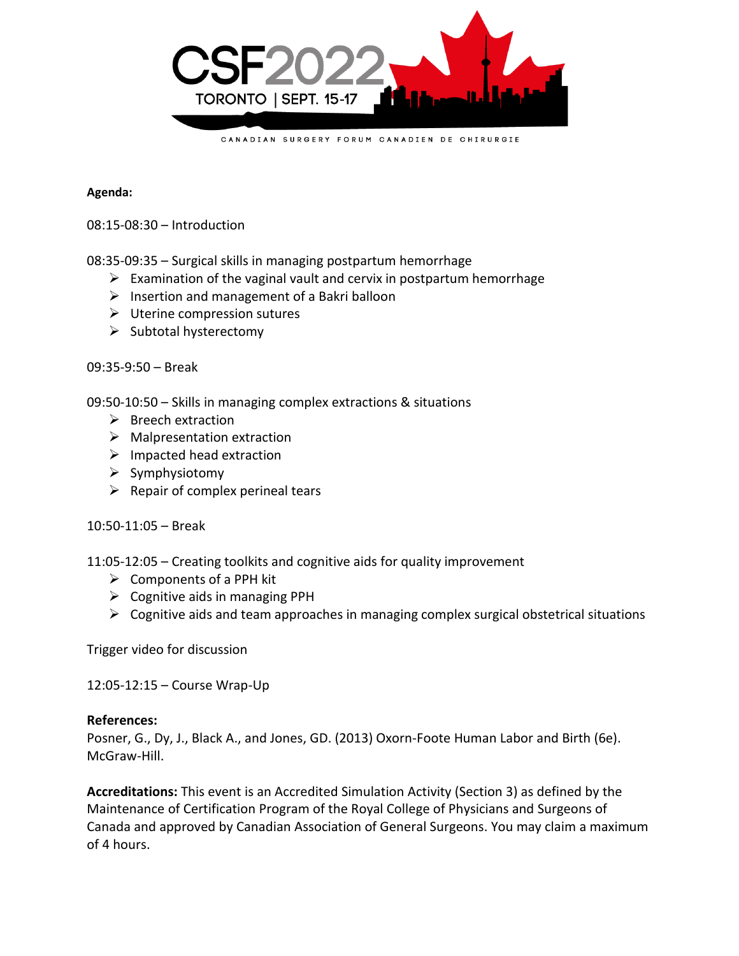

## **Agenda:**

08:15-08:30 – Introduction

08:35-09:35 – Surgical skills in managing postpartum hemorrhage

- $\triangleright$  Examination of the vaginal vault and cervix in postpartum hemorrhage
- $\triangleright$  Insertion and management of a Bakri balloon
- ➢ Uterine compression sutures
- ➢ Subtotal hysterectomy

09:35-9:50 – Break

09:50-10:50 – Skills in managing complex extractions & situations

- ➢ Breech extraction
- $\triangleright$  Malpresentation extraction
- $\triangleright$  Impacted head extraction
- ➢ Symphysiotomy
- $\triangleright$  Repair of complex perineal tears

10:50-11:05 – Break

11:05-12:05 – Creating toolkits and cognitive aids for quality improvement

- $\triangleright$  Components of a PPH kit
- $\triangleright$  Cognitive aids in managing PPH
- $\triangleright$  Cognitive aids and team approaches in managing complex surgical obstetrical situations

Trigger video for discussion

12:05-12:15 – Course Wrap-Up

## **References:**

Posner, G., Dy, J., Black A., and Jones, GD. (2013) Oxorn-Foote Human Labor and Birth (6e). McGraw-Hill.

**Accreditations:** This event is an Accredited Simulation Activity (Section 3) as defined by the Maintenance of Certification Program of the Royal College of Physicians and Surgeons of Canada and approved by Canadian Association of General Surgeons. You may claim a maximum of 4 hours.